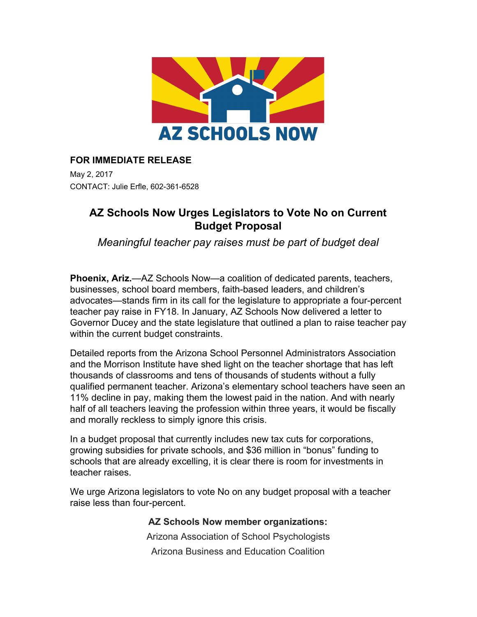

## **FOR IMMEDIATE RELEASE**

May 2, 2017 CONTACT: Julie Erfle, 602-361-6528

## **AZ Schools Now Urges Legislators to Vote No on Current Budget Proposal**

*Meaningful teacher pay raises must be part of budget deal*

**Phoenix, Ariz.**—AZ Schools Now—a coalition of dedicated parents, teachers, businesses, school board members, faith-based leaders, and children's advocates—stands firm in its call for the legislature to appropriate a four-percent teacher pay raise in FY18. In January, AZ Schools Now delivered a letter to Governor Ducey and the state legislature that outlined a plan to raise teacher pay within the current budget constraints.

Detailed reports from the Arizona School Personnel Administrators Association and the Morrison Institute have shed light on the teacher shortage that has left thousands of classrooms and tens of thousands of students without a fully qualified permanent teacher. Arizona's elementary school teachers have seen an 11% decline in pay, making them the lowest paid in the nation. And with nearly half of all teachers leaving the profession within three years, it would be fiscally and morally reckless to simply ignore this crisis.

In a budget proposal that currently includes new tax cuts for corporations, growing subsidies for private schools, and \$36 million in "bonus" funding to schools that are already excelling, it is clear there is room for investments in teacher raises.

We urge Arizona legislators to vote No on any budget proposal with a teacher raise less than four-percent.

## **AZ Schools Now member organizations:**

Arizona Association of School Psychologists Arizona Business and Education Coalition